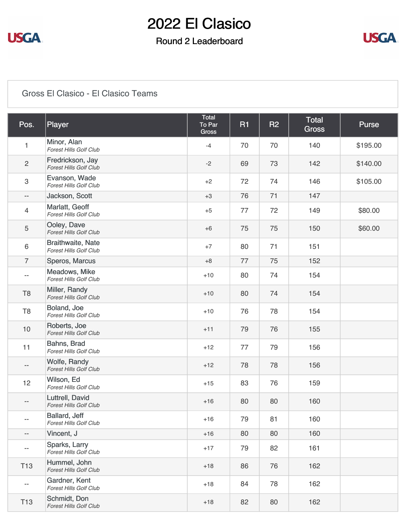

### Round 2 Leaderboard



#### [Gross El Clasico - El Clasico Teams](https://static.golfgenius.com/v2tournaments/8538473841993738198?called_from=&round_index=2)

| Pos.                      | Player                                                    | <b>Total</b><br>To Par<br>Gross | <b>R1</b> | <b>R2</b> | <b>Total</b><br><b>Gross</b> | <b>Purse</b> |
|---------------------------|-----------------------------------------------------------|---------------------------------|-----------|-----------|------------------------------|--------------|
| $\mathbf{1}$              | Minor, Alan<br><b>Forest Hills Golf Club</b>              | $-4$                            | 70        | 70        | 140                          | \$195.00     |
| $\overline{c}$            | Fredrickson, Jay<br><b>Forest Hills Golf Club</b>         | $-2$                            | 69        | 73        | 142                          | \$140.00     |
| $\ensuremath{\mathsf{3}}$ | Evanson, Wade<br><b>Forest Hills Golf Club</b>            | $+2$                            | 72        | 74        | 146                          | \$105.00     |
| $\overline{\phantom{a}}$  | Jackson, Scott                                            | $+3$                            | 76        | 71        | 147                          |              |
| $\overline{4}$            | Marlatt, Geoff<br>Forest Hills Golf Club                  | $+5$                            | 77        | 72        | 149                          | \$80.00      |
| $\sqrt{5}$                | Ooley, Dave<br><b>Forest Hills Golf Club</b>              | $+6$                            | 75        | 75        | 150                          | \$60.00      |
| $\,6\,$                   | <b>Braithwaite, Nate</b><br><b>Forest Hills Golf Club</b> | $+7$                            | 80        | 71        | 151                          |              |
| $\overline{7}$            | Speros, Marcus                                            | $+8$                            | 77        | 75        | 152                          |              |
| --                        | Meadows, Mike<br>Forest Hills Golf Club                   | $+10$                           | 80        | 74        | 154                          |              |
| T <sub>8</sub>            | Miller, Randy<br><b>Forest Hills Golf Club</b>            | $+10$                           | 80        | 74        | 154                          |              |
| T <sub>8</sub>            | Boland, Joe<br><b>Forest Hills Golf Club</b>              | $+10$                           | 76        | 78        | 154                          |              |
| 10                        | Roberts, Joe<br><b>Forest Hills Golf Club</b>             | $+11$                           | 79        | 76        | 155                          |              |
| 11                        | Bahns, Brad<br><b>Forest Hills Golf Club</b>              | $+12$                           | 77        | 79        | 156                          |              |
| $-\hbox{--}$              | Wolfe, Randy<br><b>Forest Hills Golf Club</b>             | $+12$                           | 78        | 78        | 156                          |              |
| 12                        | Wilson, Ed<br>Forest Hills Golf Club                      | $+15$                           | 83        | 76        | 159                          |              |
| --                        | Luttrell, David<br><b>Forest Hills Golf Club</b>          | $+16$                           | 80        | 80        | 160                          |              |
| --                        | Ballard, Jeff<br><b>Forest Hills Golf Club</b>            | $+16$                           | 79        | 81        | 160                          |              |
| $\overline{\phantom{a}}$  | Vincent, J                                                | $+16$                           | 80        | 80        | 160                          |              |
| $\overline{\phantom{m}}$  | Sparks, Larry<br>Forest Hills Golf Club                   | $+17$                           | 79        | 82        | 161                          |              |
| T <sub>13</sub>           | Hummel, John<br>Forest Hills Golf Club                    | $+18$                           | 86        | 76        | 162                          |              |
| $\overline{\phantom{m}}$  | Gardner, Kent<br>Forest Hills Golf Club                   | $+18$                           | 84        | 78        | 162                          |              |
| T <sub>13</sub>           | Schmidt, Don<br><b>Forest Hills Golf Club</b>             | $+18$                           | 82        | 80        | 162                          |              |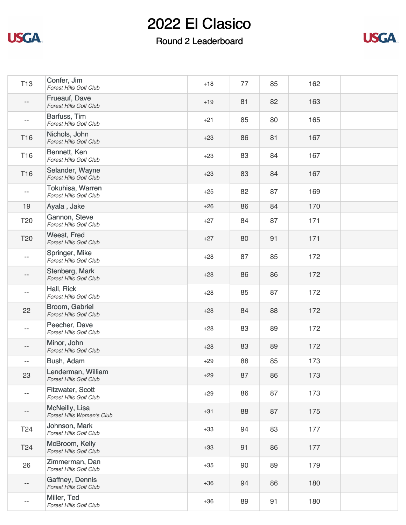

### Round 2 Leaderboard



| <b>T13</b>               | Confer, Jim<br>Forest Hills Golf Club                    | $+18$ | 77 | 85 | 162 |  |
|--------------------------|----------------------------------------------------------|-------|----|----|-----|--|
|                          | Frueauf, Dave<br><b>Forest Hills Golf Club</b>           | $+19$ | 81 | 82 | 163 |  |
| $-$                      | Barfuss, Tim<br><b>Forest Hills Golf Club</b>            | $+21$ | 85 | 80 | 165 |  |
| T16                      | Nichols, John<br><b>Forest Hills Golf Club</b>           | $+23$ | 86 | 81 | 167 |  |
| T16                      | Bennett, Ken<br><b>Forest Hills Golf Club</b>            | $+23$ | 83 | 84 | 167 |  |
| T16                      | Selander, Wayne<br><b>Forest Hills Golf Club</b>         | $+23$ | 83 | 84 | 167 |  |
| $-$                      | <b>Tokuhisa, Warren</b><br><b>Forest Hills Golf Club</b> | $+25$ | 82 | 87 | 169 |  |
| 19                       | Ayala, Jake                                              | $+26$ | 86 | 84 | 170 |  |
| T <sub>20</sub>          | Gannon, Steve<br><b>Forest Hills Golf Club</b>           | $+27$ | 84 | 87 | 171 |  |
| T20                      | Weest, Fred<br><b>Forest Hills Golf Club</b>             | $+27$ | 80 | 91 | 171 |  |
|                          | Springer, Mike<br>Forest Hills Golf Club                 | $+28$ | 87 | 85 | 172 |  |
| --                       | Stenberg, Mark<br><b>Forest Hills Golf Club</b>          | $+28$ | 86 | 86 | 172 |  |
|                          | Hall, Rick<br><b>Forest Hills Golf Club</b>              | $+28$ | 85 | 87 | 172 |  |
| 22                       | Broom, Gabriel<br>Forest Hills Golf Club                 | $+28$ | 84 | 88 | 172 |  |
|                          | Peecher, Dave<br><b>Forest Hills Golf Club</b>           | $+28$ | 83 | 89 | 172 |  |
| --                       | Minor, John<br><b>Forest Hills Golf Club</b>             | $+28$ | 83 | 89 | 172 |  |
| $\overline{\phantom{a}}$ | Bush, Adam                                               | $+29$ | 88 | 85 | 173 |  |
| 23                       | Lenderman, William<br><b>Forest Hills Golf Club</b>      | $+29$ | 87 | 86 | 173 |  |
| $ \!-$                   | <b>Fitzwater, Scott</b><br><b>Forest Hills Golf Club</b> | $+29$ | 86 | 87 | 173 |  |
| --                       | McNeilly, Lisa<br>Forest Hills Women's Club              | $+31$ | 88 | 87 | 175 |  |
| T <sub>24</sub>          | Johnson, Mark<br><b>Forest Hills Golf Club</b>           | $+33$ | 94 | 83 | 177 |  |
| T <sub>24</sub>          | McBroom, Kelly<br><b>Forest Hills Golf Club</b>          | $+33$ | 91 | 86 | 177 |  |
| 26                       | Zimmerman, Dan<br><b>Forest Hills Golf Club</b>          | $+35$ | 90 | 89 | 179 |  |
| --                       | Gaffney, Dennis<br>Forest Hills Golf Club                | $+36$ | 94 | 86 | 180 |  |
| $\overline{\phantom{a}}$ | Miller, Ted<br>Forest Hills Golf Club                    | $+36$ | 89 | 91 | 180 |  |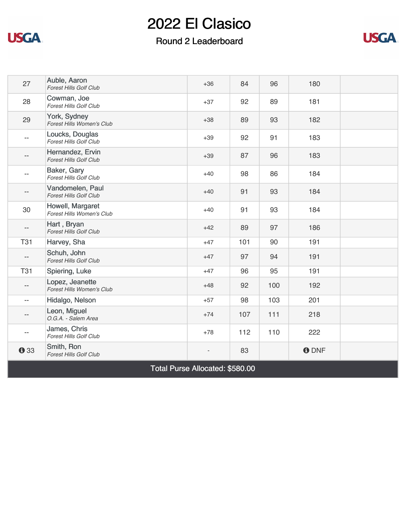

### Round 2 Leaderboard



| 27                              | Auble, Aaron<br><b>Forest Hills Golf Club</b>     | $+36$ | 84  | 96  | 180          |  |
|---------------------------------|---------------------------------------------------|-------|-----|-----|--------------|--|
| 28                              | Cowman, Joe<br><b>Forest Hills Golf Club</b>      | $+37$ | 92  | 89  | 181          |  |
| 29                              | York, Sydney<br>Forest Hills Women's Club         | $+38$ | 89  | 93  | 182          |  |
|                                 | Loucks, Douglas<br><b>Forest Hills Golf Club</b>  | $+39$ | 92  | 91  | 183          |  |
|                                 | Hernandez, Ervin<br><b>Forest Hills Golf Club</b> | $+39$ | 87  | 96  | 183          |  |
| $-$                             | Baker, Gary<br><b>Forest Hills Golf Club</b>      | $+40$ | 98  | 86  | 184          |  |
|                                 | Vandomelen, Paul<br><b>Forest Hills Golf Club</b> | $+40$ | 91  | 93  | 184          |  |
| 30                              | Howell, Margaret<br>Forest Hills Women's Club     | $+40$ | 91  | 93  | 184          |  |
|                                 | Hart, Bryan<br><b>Forest Hills Golf Club</b>      | $+42$ | 89  | 97  | 186          |  |
| <b>T31</b>                      | Harvey, Sha                                       | $+47$ | 101 | 90  | 191          |  |
| $-$                             | Schuh, John<br><b>Forest Hills Golf Club</b>      | $+47$ | 97  | 94  | 191          |  |
| <b>T31</b>                      | Spiering, Luke                                    | $+47$ | 96  | 95  | 191          |  |
| $\overline{\phantom{a}}$        | Lopez, Jeanette<br>Forest Hills Women's Club      | $+48$ | 92  | 100 | 192          |  |
| $\overline{a}$                  | Hidalgo, Nelson                                   | $+57$ | 98  | 103 | 201          |  |
|                                 | Leon, Miguel<br>O.G.A. - Salem Area               | $+74$ | 107 | 111 | 218          |  |
| $\overline{a}$                  | James, Chris<br><b>Forest Hills Golf Club</b>     | $+78$ | 112 | 110 | 222          |  |
| <b>0</b> 33                     | Smith, Ron<br><b>Forest Hills Golf Club</b>       |       | 83  |     | <b>O</b> DNF |  |
| Total Purse Allocated: \$580.00 |                                                   |       |     |     |              |  |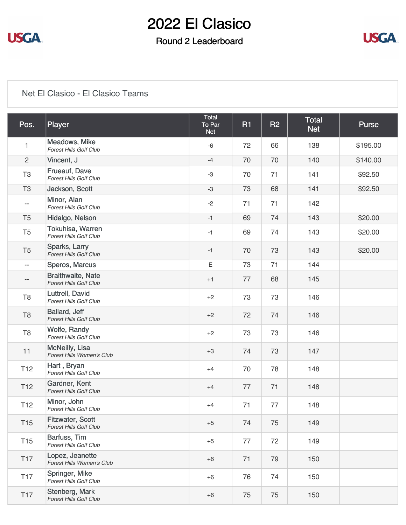

### Round 2 Leaderboard



#### [Net El Clasico - El Clasico Teams](https://static.golfgenius.com/v2tournaments/8538473850516563928?called_from=&round_index=2)

| Pos.                     | Player                                                    | <b>Total</b><br>To Par<br><b>Net</b> | <b>R1</b> | <b>R2</b> | <b>Total</b><br><b>Net</b> | <b>Purse</b> |
|--------------------------|-----------------------------------------------------------|--------------------------------------|-----------|-----------|----------------------------|--------------|
| $\mathbf{1}$             | Meadows, Mike<br><b>Forest Hills Golf Club</b>            | $-6$                                 | 72        | 66        | 138                        | \$195.00     |
| $\overline{2}$           | Vincent, J                                                | $-4$                                 | 70        | 70        | 140                        | \$140.00     |
| T <sub>3</sub>           | Frueauf, Dave<br><b>Forest Hills Golf Club</b>            | $-3$                                 | 70        | 71        | 141                        | \$92.50      |
| T <sub>3</sub>           | Jackson, Scott                                            | $-3$                                 | 73        | 68        | 141                        | \$92.50      |
| $\overline{\phantom{a}}$ | Minor, Alan<br><b>Forest Hills Golf Club</b>              | $-2$                                 | 71        | 71        | 142                        |              |
| T <sub>5</sub>           | Hidalgo, Nelson                                           | $-1$                                 | 69        | 74        | 143                        | \$20.00      |
| T <sub>5</sub>           | Tokuhisa, Warren<br><b>Forest Hills Golf Club</b>         | $-1$                                 | 69        | 74        | 143                        | \$20.00      |
| T <sub>5</sub>           | Sparks, Larry<br><b>Forest Hills Golf Club</b>            | $-1$                                 | 70        | 73        | 143                        | \$20.00      |
| $\overline{\phantom{m}}$ | Speros, Marcus                                            | Ε                                    | 73        | 71        | 144                        |              |
| --                       | <b>Braithwaite, Nate</b><br><b>Forest Hills Golf Club</b> | $+1$                                 | 77        | 68        | 145                        |              |
| T <sub>8</sub>           | Luttrell, David<br><b>Forest Hills Golf Club</b>          | $+2$                                 | 73        | 73        | 146                        |              |
| T <sub>8</sub>           | Ballard, Jeff<br><b>Forest Hills Golf Club</b>            | $+2$                                 | 72        | 74        | 146                        |              |
| T <sub>8</sub>           | Wolfe, Randy<br><b>Forest Hills Golf Club</b>             | $+2$                                 | 73        | 73        | 146                        |              |
| 11                       | <b>McNeilly, Lisa</b><br>Forest Hills Women's Club        | $+3$                                 | 74        | 73        | 147                        |              |
| T <sub>12</sub>          | Hart, Bryan<br><b>Forest Hills Golf Club</b>              | $+4$                                 | 70        | 78        | 148                        |              |
| T <sub>12</sub>          | Gardner, Kent<br><b>Forest Hills Golf Club</b>            | $+4$                                 | 77        | 71        | 148                        |              |
| T <sub>12</sub>          | Minor, John<br>Forest Hills Golf Club                     | $+4$                                 | 71        | 77        | 148                        |              |
| T <sub>15</sub>          | <b>Fitzwater, Scott</b><br><b>Forest Hills Golf Club</b>  | $+5$                                 | 74        | 75        | 149                        |              |
| T <sub>15</sub>          | Barfuss, Tim<br>Forest Hills Golf Club                    | $+5$                                 | 77        | 72        | 149                        |              |
| <b>T17</b>               | Lopez, Jeanette<br>Forest Hills Women's Club              | $+6$                                 | 71        | 79        | 150                        |              |
| <b>T17</b>               | Springer, Mike<br><b>Forest Hills Golf Club</b>           | $+6$                                 | 76        | 74        | 150                        |              |
| <b>T17</b>               | Stenberg, Mark<br><b>Forest Hills Golf Club</b>           | $+6$                                 | 75        | 75        | 150                        |              |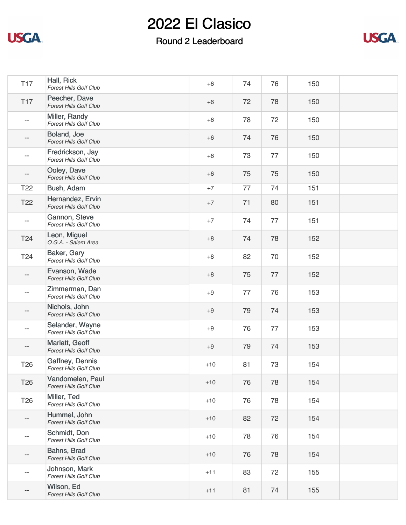

### Round 2 Leaderboard



| <b>T17</b>      | Hall, Rick<br><b>Forest Hills Golf Club</b>       | $+6$  | 74 | 76 | 150 |  |
|-----------------|---------------------------------------------------|-------|----|----|-----|--|
| <b>T17</b>      | Peecher, Dave<br><b>Forest Hills Golf Club</b>    | $+6$  | 72 | 78 | 150 |  |
| --              | Miller, Randy<br><b>Forest Hills Golf Club</b>    | $+6$  | 78 | 72 | 150 |  |
|                 | Boland, Joe<br>Forest Hills Golf Club             | $+6$  | 74 | 76 | 150 |  |
| $-$             | Fredrickson, Jay<br><b>Forest Hills Golf Club</b> | $+6$  | 73 | 77 | 150 |  |
| --              | Ooley, Dave<br><b>Forest Hills Golf Club</b>      | $+6$  | 75 | 75 | 150 |  |
| T <sub>22</sub> | Bush, Adam                                        | $+7$  | 77 | 74 | 151 |  |
| T <sub>22</sub> | Hernandez, Ervin<br><b>Forest Hills Golf Club</b> | $+7$  | 71 | 80 | 151 |  |
| $-\,-$          | Gannon, Steve<br><b>Forest Hills Golf Club</b>    | $+7$  | 74 | 77 | 151 |  |
| T <sub>24</sub> | Leon, Miguel<br>O.G.A. - Salem Area               | $+8$  | 74 | 78 | 152 |  |
| T24             | Baker, Gary<br><b>Forest Hills Golf Club</b>      | $+8$  | 82 | 70 | 152 |  |
|                 | Evanson, Wade<br><b>Forest Hills Golf Club</b>    | $+8$  | 75 | 77 | 152 |  |
| $-$             | Zimmerman, Dan<br><b>Forest Hills Golf Club</b>   | $+9$  | 77 | 76 | 153 |  |
| $- -$           | Nichols, John<br><b>Forest Hills Golf Club</b>    | $+9$  | 79 | 74 | 153 |  |
|                 | Selander, Wayne<br><b>Forest Hills Golf Club</b>  | $+9$  | 76 | 77 | 153 |  |
|                 | Marlatt, Geoff<br><b>Forest Hills Golf Club</b>   | $+9$  | 79 | 74 | 153 |  |
| T <sub>26</sub> | Gaffney, Dennis<br><b>Forest Hills Golf Club</b>  | $+10$ | 81 | 73 | 154 |  |
| T <sub>26</sub> | Vandomelen, Paul<br><b>Forest Hills Golf Club</b> | $+10$ | 76 | 78 | 154 |  |
| T26             | Miller, Ted<br>Forest Hills Golf Club             | $+10$ | 76 | 78 | 154 |  |
| $- -$           | Hummel, John<br>Forest Hills Golf Club            | $+10$ | 82 | 72 | 154 |  |
| --              | Schmidt, Don<br>Forest Hills Golf Club            | $+10$ | 78 | 76 | 154 |  |
| --              | Bahns, Brad<br><b>Forest Hills Golf Club</b>      | $+10$ | 76 | 78 | 154 |  |
| $- -$           | Johnson, Mark<br><b>Forest Hills Golf Club</b>    | $+11$ | 83 | 72 | 155 |  |
| --              | Wilson, Ed<br>Forest Hills Golf Club              | $+11$ | 81 | 74 | 155 |  |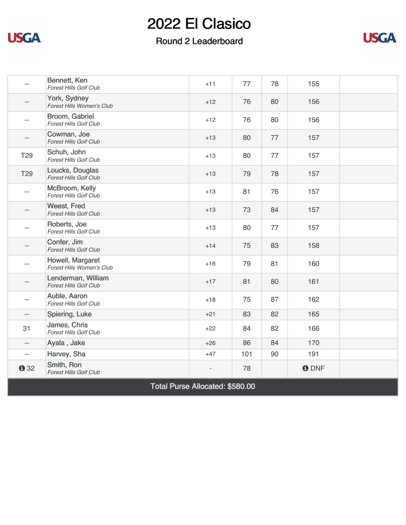

#### Round 2 Leaderboard



|                          | Bennett, Ken<br><b>Forest Hills Golf Club</b>       | $+11$ | 77  | 78 | 155          |  |
|--------------------------|-----------------------------------------------------|-------|-----|----|--------------|--|
| --                       | York, Sydney<br>Forest Hills Women's Club           | $+12$ | 76  | 80 | 156          |  |
| $-$                      | Broom, Gabriel<br><b>Forest Hills Golf Club</b>     | $+12$ | 76  | 80 | 156          |  |
|                          | Cowman, Joe<br><b>Forest Hills Golf Club</b>        | $+13$ | 80  | 77 | 157          |  |
| T <sub>29</sub>          | Schuh, John<br>Forest Hills Golf Club               | $+13$ | 80  | 77 | 157          |  |
| T <sub>29</sub>          | Loucks, Douglas<br><b>Forest Hills Golf Club</b>    | $+13$ | 79  | 78 | 157          |  |
| $- -$                    | McBroom, Kelly<br><b>Forest Hills Golf Club</b>     | $+13$ | 81  | 76 | 157          |  |
| $- -$                    | Weest, Fred<br><b>Forest Hills Golf Club</b>        | $+13$ | 73  | 84 | 157          |  |
|                          | Roberts, Joe<br><b>Forest Hills Golf Club</b>       | $+13$ | 80  | 77 | 157          |  |
| $-$                      | Confer, Jim<br>Forest Hills Golf Club               | $+14$ | 75  | 83 | 158          |  |
| $- -$                    | Howell, Margaret<br>Forest Hills Women's Club       | $+16$ | 79  | 81 | 160          |  |
|                          | Lenderman, William<br><b>Forest Hills Golf Club</b> | $+17$ | 81  | 80 | 161          |  |
| $-$                      | Auble, Aaron<br><b>Forest Hills Golf Club</b>       | $+18$ | 75  | 87 | 162          |  |
| $- -$                    | Spiering, Luke                                      | $+21$ | 83  | 82 | 165          |  |
| 31                       | James, Chris<br><b>Forest Hills Golf Club</b>       | $+22$ | 84  | 82 | 166          |  |
| $-\, -$                  | Ayala, Jake                                         | $+26$ | 86  | 84 | 170          |  |
| $\overline{\phantom{a}}$ | Harvey, Sha                                         | $+47$ | 101 | 90 | 191          |  |
| 032                      | Smith, Ron<br>Forest Hills Golf Club                |       | 78  |    | <b>O</b> DNF |  |

Total Purse Allocated: \$580.00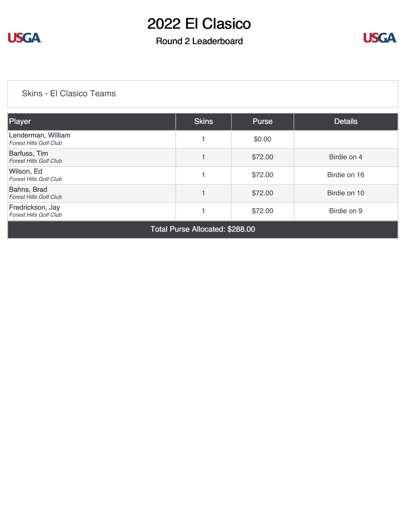

### Round 2 Leaderboard



#### [Skins - El Clasico Teams](https://static.golfgenius.com/v2tournaments/8533097516353218321?called_from=&round_index=2)

| <b>Player</b>                                       | <b>Skins</b> | <b>Purse</b> | <b>Details</b> |  |  |  |
|-----------------------------------------------------|--------------|--------------|----------------|--|--|--|
| Lenderman, William<br><b>Forest Hills Golf Club</b> |              | \$0.00       |                |  |  |  |
| Barfuss, Tim<br><b>Forest Hills Golf Club</b>       |              | \$72.00      | Birdie on 4    |  |  |  |
| Wilson, Ed<br><b>Forest Hills Golf Club</b>         |              | \$72.00      | Birdie on 16   |  |  |  |
| Bahns, Brad<br><b>Forest Hills Golf Club</b>        |              | \$72.00      | Birdie on 10   |  |  |  |
| Fredrickson, Jay<br><b>Forest Hills Golf Club</b>   |              | \$72.00      | Birdie on 9    |  |  |  |
|                                                     |              |              |                |  |  |  |

Total Purse Allocated: \$288.00